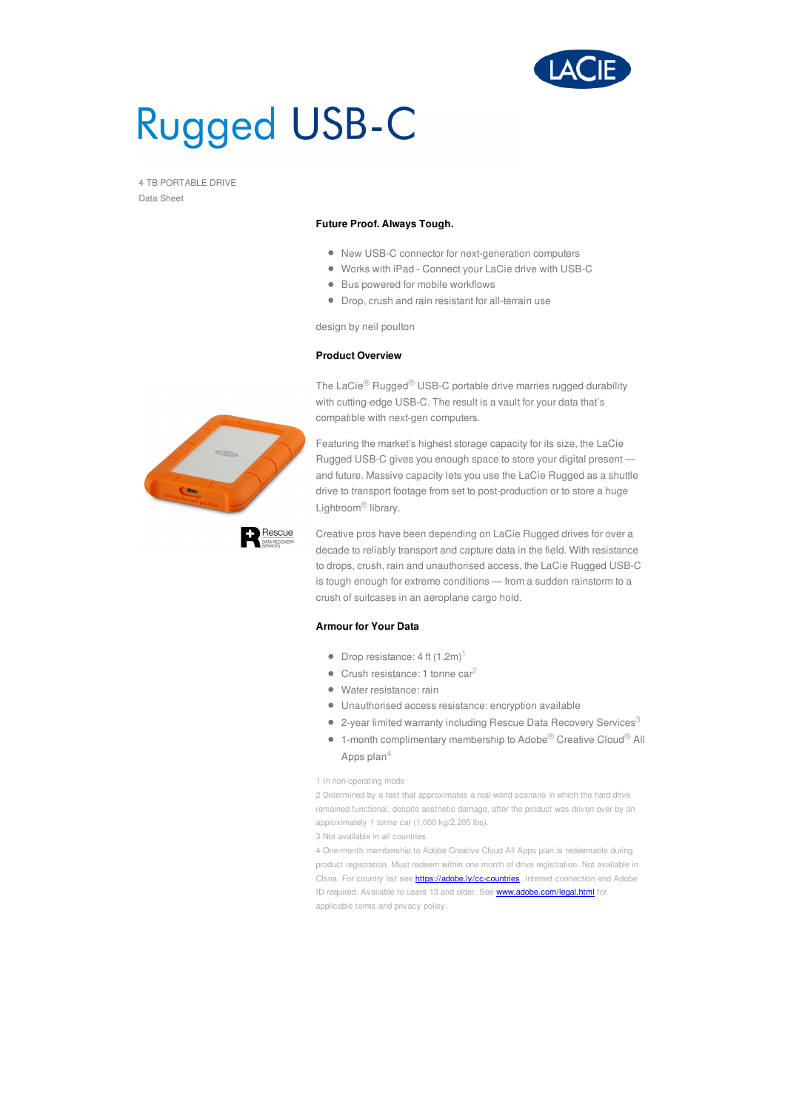

# **Rugged USB-C**

4 TB PORTABLE DRIVE Data Sheet

### **Future Proof. Always Tough.**

- New USB-C connector for next-generation computers
- Works with iPad Connect your LaCie drive with USB-C
- Bus powered for mobile workflows
- Drop, crush and rain resistant for all-terrain use

design by neil poulton

## **Product Overview**

The LaCie<sup>®</sup> Rugged<sup>®</sup> USB-C portable drive marries rugged durability with cutting-edge USB-C. The result is a vault for your data that's compatible with next-gen computers.

Featuring the market's highest storage capacity for its size, the LaCie Rugged USB-C gives you enough space to store your digital present and future. Massive capacity lets you use the LaCie Rugged as a shuttle drive to transport footage from set to post-production or to store a huge Lightroom® library.

Creative pros have been depending on LaCie Rugged drives for over a decade to reliably transport and capture data in the field. With resistance to drops, crush, rain and unauthorised access, the LaCie Rugged USB-C is tough enough for extreme conditions — from a sudden rainstorm to a crush of suitcases in an aeroplane cargo hold.

## **Armour for Your Data**

- Drop resistance: 4 ft  $(1.2m)^1$
- $\bullet$  Crush resistance: 1 tonne car<sup>2</sup>
- Water resistance: rain
- Unauthorised access resistance: encryption available
- 2-year limited warranty including Rescue Data Recovery Services $^3$
- 1-month complimentary membership to Adobe<sup>®</sup> Creative Cloud<sup>®</sup> All Apps plan $^4\,$

#### 1 In non-operating mode

2 Determined by a test that approximates a real-world scenario in which the hard drive remained functional, despite aesthetic damage, after the product was driven over by an approximately 1 tonne car (1,000 kg/2,205 lbs).

3 Not available in all countries

4 One-month membership to Adobe Creative Cloud All Apps plan is redeemable during product registration. Must redeem within one month of drive registration. Not available in China. For country list see **<https://adobe.ly/cc-countries>**. Internet connection and Adobe ID required. Available to users 13 and older. See <www.adobe.com/legal.html> for applicable terms and privacy policy.